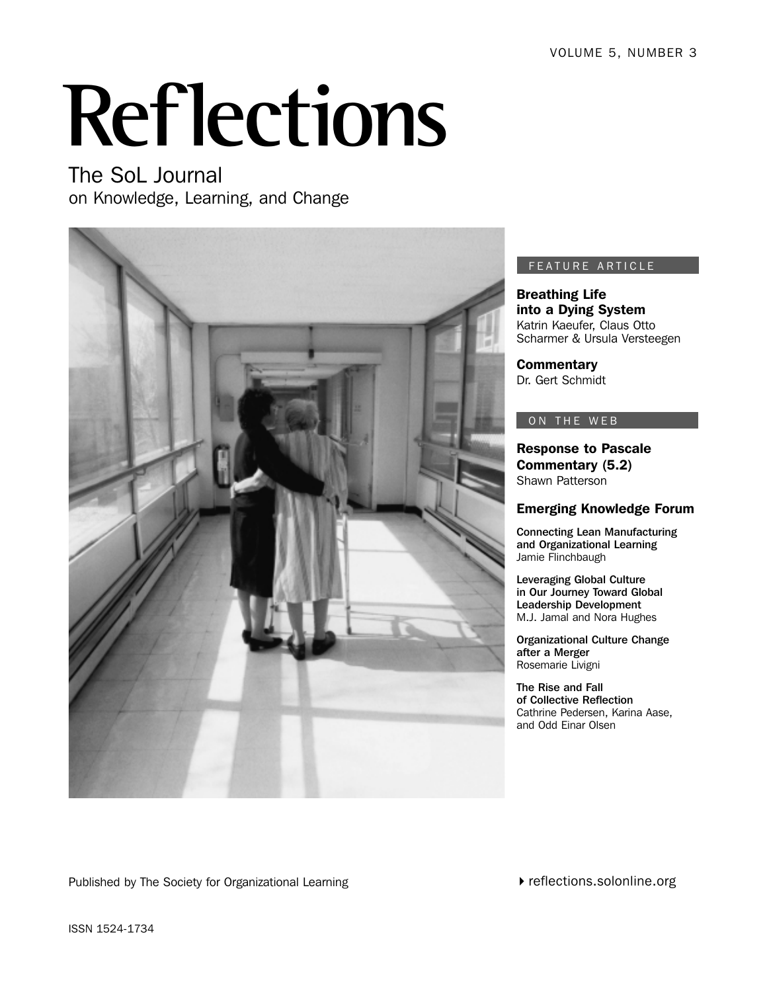# **Reflections**

The SoL Journal on Knowledge, Learning, and Change



## FEATURE ARTICLE

Breathing Life into a Dying System Katrin Kaeufer, Claus Otto Scharmer & Ursula Versteegen

**Commentary** Dr. Gert Schmidt

## ON THE WEB

Response to Pascale Commentary (5.2) Shawn Patterson

## Emerging Knowledge Forum

Connecting Lean Manufacturing and Organizational Learning Jamie Flinchbaugh

Leveraging Global Culture in Our Journey Toward Global Leadership Development M.J. Jamal and Nora Hughes

Organizational Culture Change after a Merger Rosemarie Livigni

The Rise and Fall of Collective Reflection Cathrine Pedersen, Karina Aase, and Odd Einar Olsen

Published by The Society for Organizational Learning

reflections.solonline.org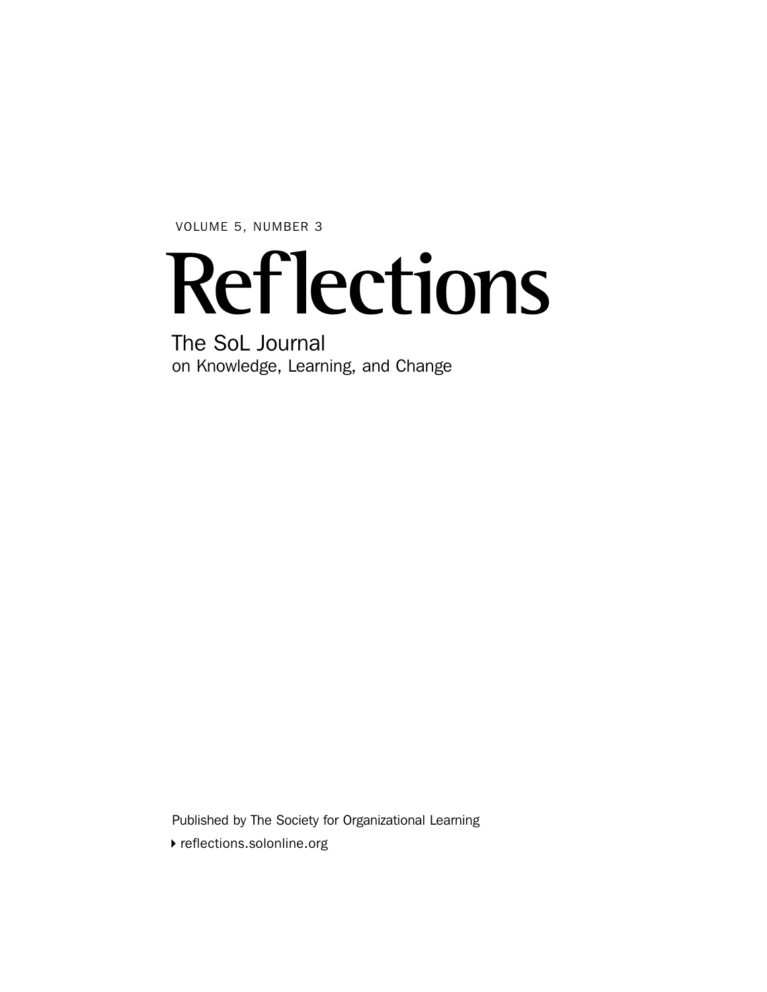VOLUME 5, NUMBER 3

## **Reflections**

The SoL Journal on Knowledge, Learning, and Change

Published by The Society for Organizational Learning

reflections.solonline.org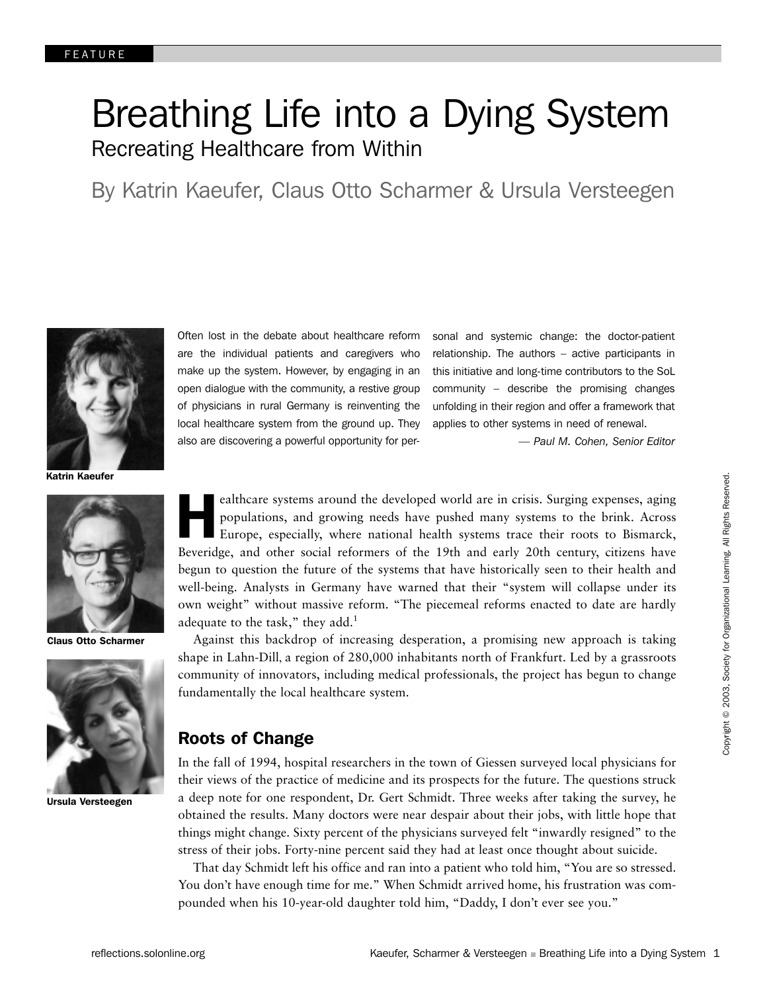## Breathing Life into a Dying System Recreating Healthcare from Within

By Katrin Kaeufer, Claus Otto Scharmer & Ursula Versteegen



Katrin Kaeufer



Claus Otto Scharmer



Ursula Versteegen

Often lost in the debate about healthcare reform are the individual patients and caregivers who make up the system. However, by engaging in an open dialogue with the community, a restive group of physicians in rural Germany is reinventing the local healthcare system from the ground up. They also are discovering a powerful opportunity for personal and systemic change: the doctor-patient relationship. The authors – active participants in this initiative and long-time contributors to the SoL community – describe the promising changes unfolding in their region and offer a framework that applies to other systems in need of renewal.

*— Paul M. Cohen, Senior Editor*

ealthcare systems around the developed world are in crisis. Surging expenses, aging populations, and growing needs have pushed many systems to the brink. Across Europe, especially, where national health systems trace their ealthcare systems around the developed world are in crisis. Surging expenses, aging populations, and growing needs have pushed many systems to the brink. Across Europe, especially, where national health systems trace their roots to Bismarck, begun to question the future of the systems that have historically seen to their health and well-being. Analysts in Germany have warned that their "system will collapse under its own weight" without massive reform. "The piecemeal reforms enacted to date are hardly adequate to the task," they add. $<sup>1</sup>$ </sup>

Against this backdrop of increasing desperation, a promising new approach is taking shape in Lahn-Dill, a region of 280,000 inhabitants north of Frankfurt. Led by a grassroots community of innovators, including medical professionals, the project has begun to change fundamentally the local healthcare system.

## Roots of Change

In the fall of 1994, hospital researchers in the town of Giessen surveyed local physicians for their views of the practice of medicine and its prospects for the future. The questions struck a deep note for one respondent, Dr. Gert Schmidt. Three weeks after taking the survey, he obtained the results. Many doctors were near despair about their jobs, with little hope that things might change. Sixty percent of the physicians surveyed felt "inwardly resigned" to the stress of their jobs. Forty-nine percent said they had at least once thought about suicide.

That day Schmidt left his office and ran into a patient who told him, "You are so stressed. You don't have enough time for me." When Schmidt arrived home, his frustration was compounded when his 10-year-old daughter told him, "Daddy, I don't ever see you."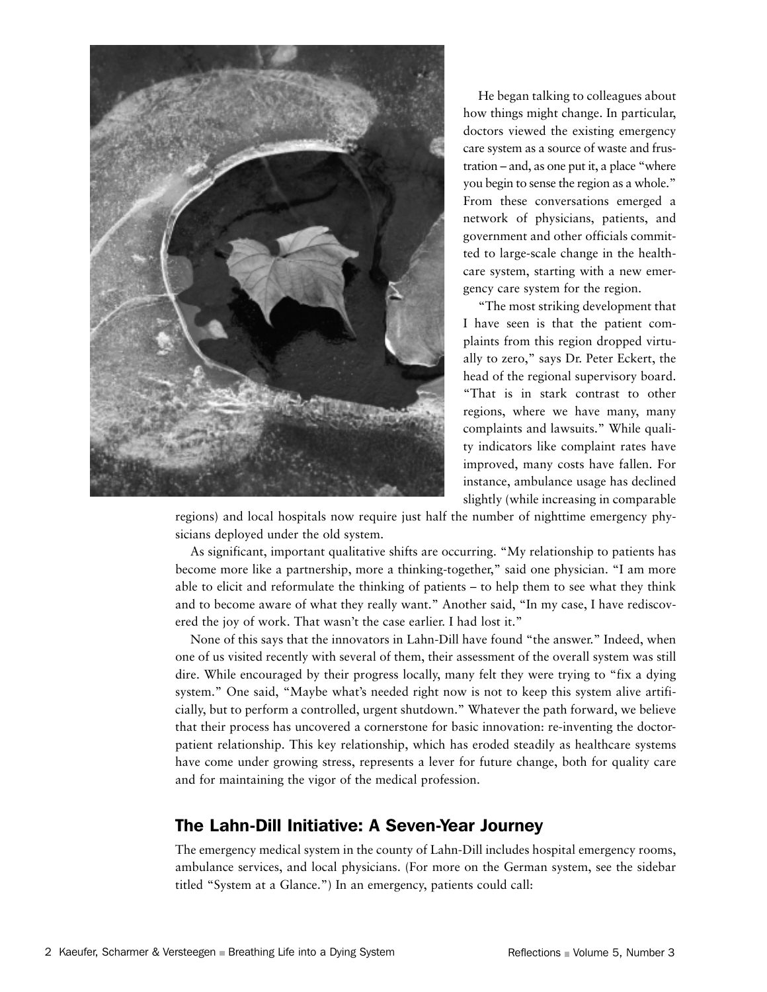

He began talking to colleagues about how things might change. In particular, doctors viewed the existing emergency care system as a source of waste and frustration – and, as one put it, a place "where you begin to sense the region as a whole." From these conversations emerged a network of physicians, patients, and government and other officials committed to large-scale change in the healthcare system, starting with a new emergency care system for the region.

"The most striking development that I have seen is that the patient complaints from this region dropped virtually to zero," says Dr. Peter Eckert, the head of the regional supervisory board. "That is in stark contrast to other regions, where we have many, many complaints and lawsuits." While quality indicators like complaint rates have improved, many costs have fallen. For instance, ambulance usage has declined slightly (while increasing in comparable

regions) and local hospitals now require just half the number of nighttime emergency physicians deployed under the old system.

As significant, important qualitative shifts are occurring. "My relationship to patients has become more like a partnership, more a thinking-together," said one physician. "I am more able to elicit and reformulate the thinking of patients – to help them to see what they think and to become aware of what they really want." Another said, "In my case, I have rediscovered the joy of work. That wasn't the case earlier. I had lost it."

None of this says that the innovators in Lahn-Dill have found "the answer." Indeed, when one of us visited recently with several of them, their assessment of the overall system was still dire. While encouraged by their progress locally, many felt they were trying to "fix a dying system." One said, "Maybe what's needed right now is not to keep this system alive artificially, but to perform a controlled, urgent shutdown." Whatever the path forward, we believe that their process has uncovered a cornerstone for basic innovation: re-inventing the doctorpatient relationship. This key relationship, which has eroded steadily as healthcare systems have come under growing stress, represents a lever for future change, both for quality care and for maintaining the vigor of the medical profession.

## The Lahn-Dill Initiative: A Seven-Year Journey

The emergency medical system in the county of Lahn-Dill includes hospital emergency rooms, ambulance services, and local physicians. (For more on the German system, see the sidebar titled "System at a Glance.") In an emergency, patients could call: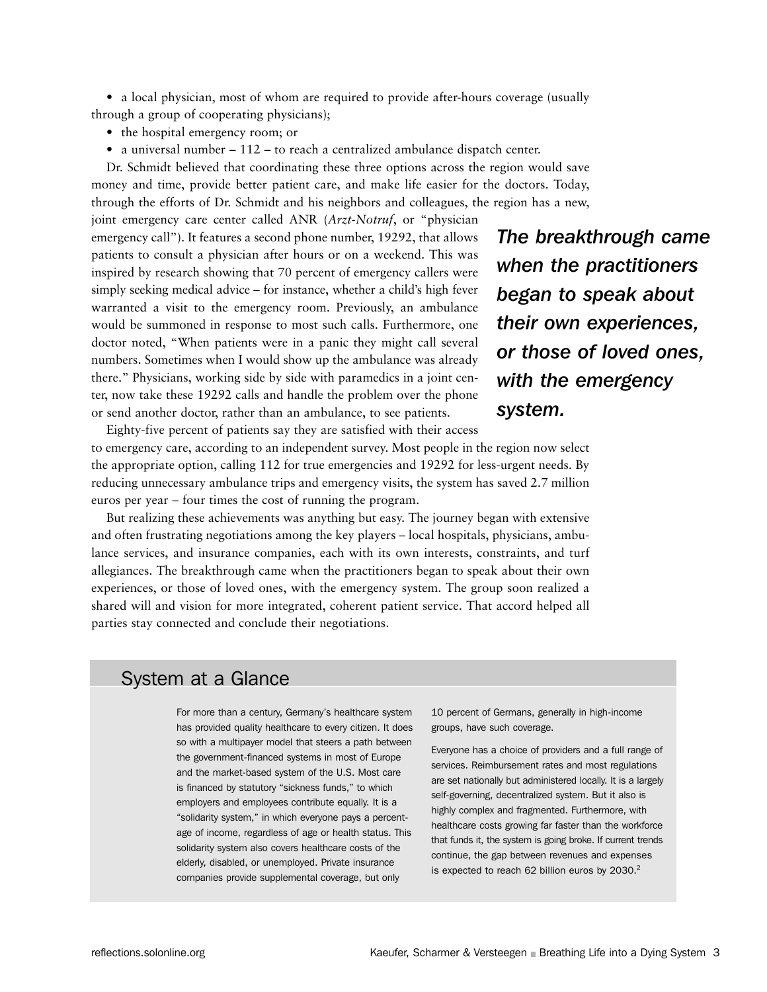• a local physician, most of whom are required to provide after-hours coverage (usually through a group of cooperating physicians);

- the hospital emergency room; or
- a universal number 112 to reach a centralized ambulance dispatch center.

Dr. Schmidt believed that coordinating these three options across the region would save money and time, provide better patient care, and make life easier for the doctors. Today, through the efforts of Dr. Schmidt and his neighbors and colleagues, the region has a new,

joint emergency care center called ANR (*Arzt-Notruf*, or "physician emergency call"). It features a second phone number, 19292, that allows patients to consult a physician after hours or on a weekend. This was inspired by research showing that 70 percent of emergency callers were simply seeking medical advice – for instance, whether a child's high fever warranted a visit to the emergency room. Previously, an ambulance would be summoned in response to most such calls. Furthermore, one doctor noted, "When patients were in a panic they might call several numbers. Sometimes when I would show up the ambulance was already there." Physicians, working side by side with paramedics in a joint center, now take these 19292 calls and handle the problem over the phone or send another doctor, rather than an ambulance, to see patients.

*The breakthrough came when the practitioners began to speak about their own experiences, or those of loved ones, with the emergency system.*

Eighty-five percent of patients say they are satisfied with their access to emergency care, according to an independent survey. Most people in the region now select the appropriate option, calling 112 for true emergencies and 19292 for less-urgent needs. By reducing unnecessary ambulance trips and emergency visits, the system has saved 2.7 million euros per year – four times the cost of running the program.

But realizing these achievements was anything but easy. The journey began with extensive and often frustrating negotiations among the key players – local hospitals, physicians, ambulance services, and insurance companies, each with its own interests, constraints, and turf allegiances. The breakthrough came when the practitioners began to speak about their own experiences, or those of loved ones, with the emergency system. The group soon realized a shared will and vision for more integrated, coherent patient service. That accord helped all parties stay connected and conclude their negotiations.

## System at a Glance

For more than a century, Germany's healthcare system has provided quality healthcare to every citizen. It does so with a multipayer model that steers a path between the government-financed systems in most of Europe and the market-based system of the U.S. Most care is financed by statutory "sickness funds," to which employers and employees contribute equally. It is a "solidarity system," in which everyone pays a percentage of income, regardless of age or health status. This solidarity system also covers healthcare costs of the elderly, disabled, or unemployed. Private insurance companies provide supplemental coverage, but only

10 percent of Germans, generally in high-income groups, have such coverage.

Everyone has a choice of providers and a full range of services. Reimbursement rates and most regulations are set nationally but administered locally. It is a largely self-governing, decentralized system. But it also is highly complex and fragmented. Furthermore, with healthcare costs growing far faster than the workforce that funds it, the system is going broke. If current trends continue, the gap between revenues and expenses is expected to reach 62 billion euros by  $2030.<sup>2</sup>$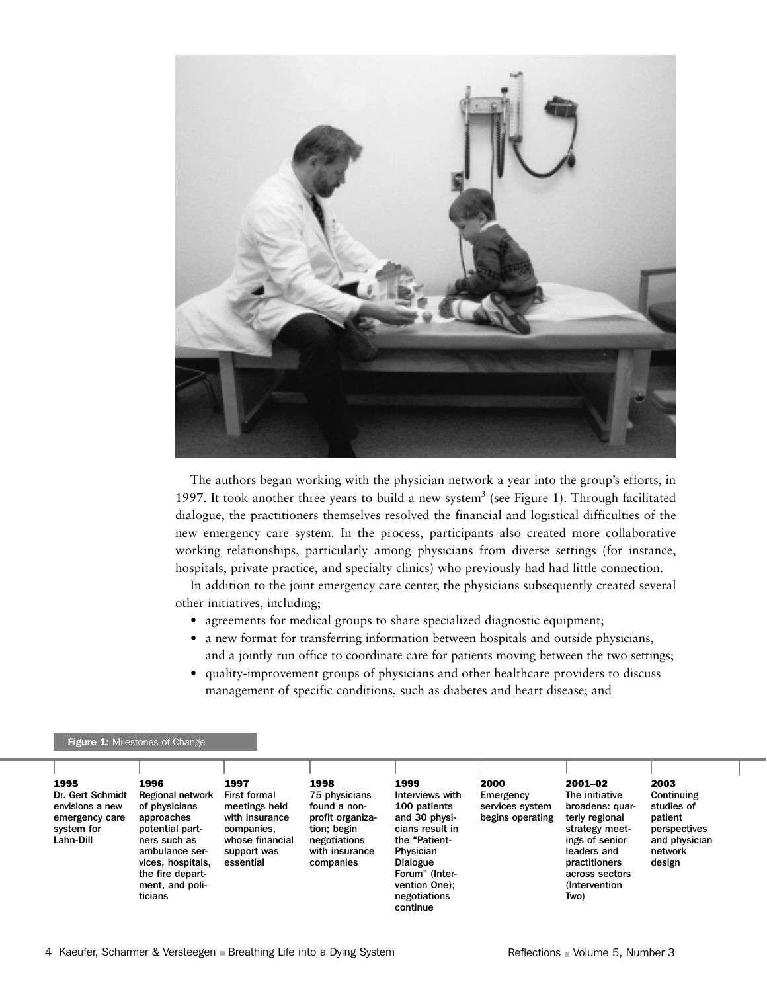

The authors began working with the physician network a year into the group's efforts, in 1997. It took another three years to build a new system<sup>3</sup> (see Figure 1). Through facilitated dialogue, the practitioners themselves resolved the financial and logistical difficulties of the new emergency care system. In the process, participants also created more collaborative working relationships, particularly among physicians from diverse settings (for instance, hospitals, private practice, and specialty clinics) who previously had had little connection.

In addition to the joint emergency care center, the physicians subsequently created several other initiatives, including;

- agreements for medical groups to share specialized diagnostic equipment;
- a new format for transferring information between hospitals and outside physicians, and a jointly run office to coordinate care for patients moving between the two settings;
- quality-improvement groups of physicians and other healthcare providers to discuss management of specific conditions, such as diabetes and heart disease; and

### Figure 1: Milestones of Change

| ticians<br>negotiations<br>continue | 1995<br>Dr. Gert Schmidt<br>envisions a new<br>emergency care<br>system for<br>Lahn-Dill | 1996<br>1997<br>Regional network<br>of physicians<br>approaches<br>potential part-<br>ners such as<br>ambulance ser-<br>vices, hospitals,<br>essential<br>the fire depart-<br>ment, and poli- | 1998<br><b>First formal</b><br>75 physicians<br>meetings held<br>found a non-<br>with insurance<br>profit organiza-<br>tion; begin<br>companies,<br>whose financial<br>negotiations<br>with insurance<br>support was<br>companies | 1999<br>Interviews with<br>100 patients<br>and 30 physi-<br>cians result in<br>the "Patient-<br>Physician<br>Dialogue<br>Forum" (Inter-<br>vention One); | 2000<br>Emergency<br>services system<br>begins operating | 2001-02<br>The initiative<br>broadens: quar-<br>terly regional<br>strategy meet-<br>ings of senior<br>leaders and<br>practitioners<br>across sectors<br>(Intervention)<br>Two) | 2003<br>Continuing<br>studies of<br>patient<br>perspectives<br>and physician<br>network<br>design |
|-------------------------------------|------------------------------------------------------------------------------------------|-----------------------------------------------------------------------------------------------------------------------------------------------------------------------------------------------|-----------------------------------------------------------------------------------------------------------------------------------------------------------------------------------------------------------------------------------|----------------------------------------------------------------------------------------------------------------------------------------------------------|----------------------------------------------------------|--------------------------------------------------------------------------------------------------------------------------------------------------------------------------------|---------------------------------------------------------------------------------------------------|
|-------------------------------------|------------------------------------------------------------------------------------------|-----------------------------------------------------------------------------------------------------------------------------------------------------------------------------------------------|-----------------------------------------------------------------------------------------------------------------------------------------------------------------------------------------------------------------------------------|----------------------------------------------------------------------------------------------------------------------------------------------------------|----------------------------------------------------------|--------------------------------------------------------------------------------------------------------------------------------------------------------------------------------|---------------------------------------------------------------------------------------------------|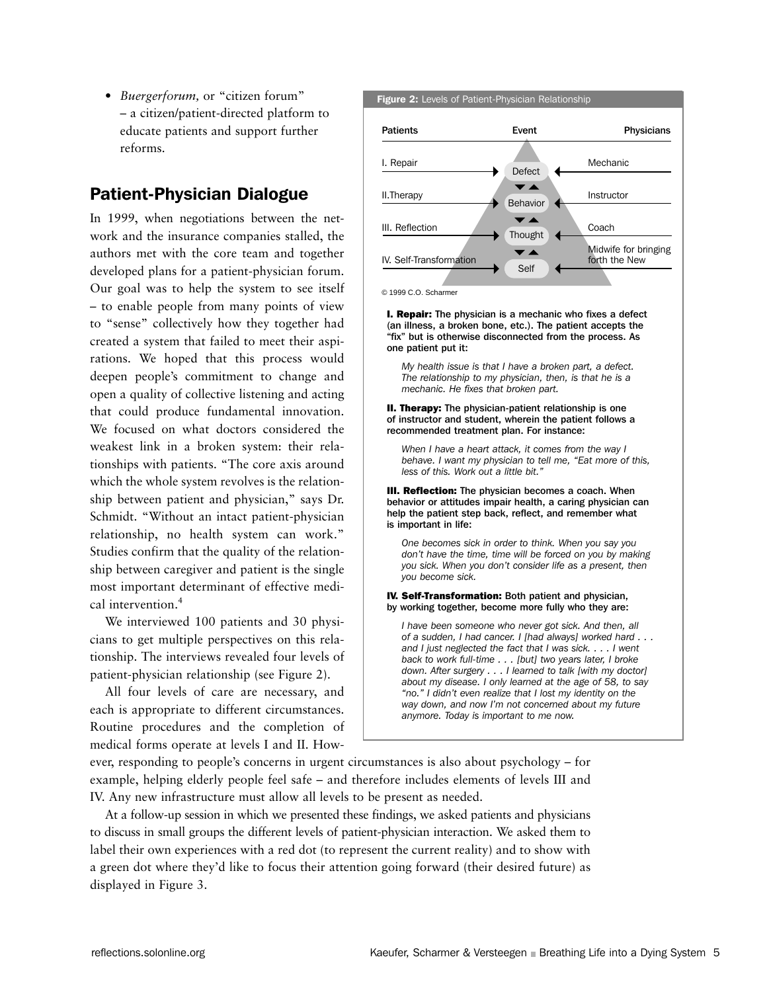• *Buergerforum,* or "citizen forum" – a citizen/patient-directed platform to educate patients and support further reforms.

## Patient-Physician Dialogue

In 1999, when negotiations between the network and the insurance companies stalled, the authors met with the core team and together developed plans for a patient-physician forum. Our goal was to help the system to see itself – to enable people from many points of view to "sense" collectively how they together had created a system that failed to meet their aspirations. We hoped that this process would deepen people's commitment to change and open a quality of collective listening and acting that could produce fundamental innovation. We focused on what doctors considered the weakest link in a broken system: their relationships with patients. "The core axis around which the whole system revolves is the relationship between patient and physician," says Dr. Schmidt. "Without an intact patient-physician relationship, no health system can work." Studies confirm that the quality of the relationship between caregiver and patient is the single most important determinant of effective medical intervention.<sup>4</sup>

We interviewed 100 patients and 30 physicians to get multiple perspectives on this relationship. The interviews revealed four levels of patient-physician relationship (see Figure 2).

All four levels of care are necessary, and each is appropriate to different circumstances. Routine procedures and the completion of medical forms operate at levels I and II. How-



© 1999 C.O. Scharmer

**I. Repair:** The physician is a mechanic who fixes a defect (an illness, a broken bone, etc.). The patient accepts the "fix" but is otherwise disconnected from the process. As one patient put it:

*My health issue is that I have a broken part, a defect. The relationship to my physician, then, is that he is a mechanic. He fixes that broken part.*

#### **II. Therapy:** The physician-patient relationship is one of instructor and student, wherein the patient follows a recommended treatment plan. For instance:

*When I have a heart attack, it comes from the way I behave. I want my physician to tell me, "Eat more of this, less of this. Work out a little bit."*

**III. Reflection:** The physician becomes a coach. When behavior or attitudes impair health, a caring physician can help the patient step back, reflect, and remember what is important in life:

*One becomes sick in order to think. When you say you don't have the time, time will be forced on you by making you sick. When you don't consider life as a present, then you become sick.*

#### IV. Self-Transformation: Both patient and physician, by working together, become more fully who they are:

*I have been someone who never got sick. And then, all of a sudden, I had cancer. I [had always] worked hard . . . and I just neglected the fact that I was sick. . . . I went back to work full-time . . . [but] two years later, I broke down. After surgery . . . I learned to talk [with my doctor] about my disease. I only learned at the age of 58, to say "no." I didn't even realize that I lost my identity on the way down, and now I'm not concerned about my future anymore. Today is important to me now.*

ever, responding to people's concerns in urgent circumstances is also about psychology – for example, helping elderly people feel safe – and therefore includes elements of levels III and IV. Any new infrastructure must allow all levels to be present as needed.

At a follow-up session in which we presented these findings, we asked patients and physicians to discuss in small groups the different levels of patient-physician interaction. We asked them to label their own experiences with a red dot (to represent the current reality) and to show with a green dot where they'd like to focus their attention going forward (their desired future) as displayed in Figure 3.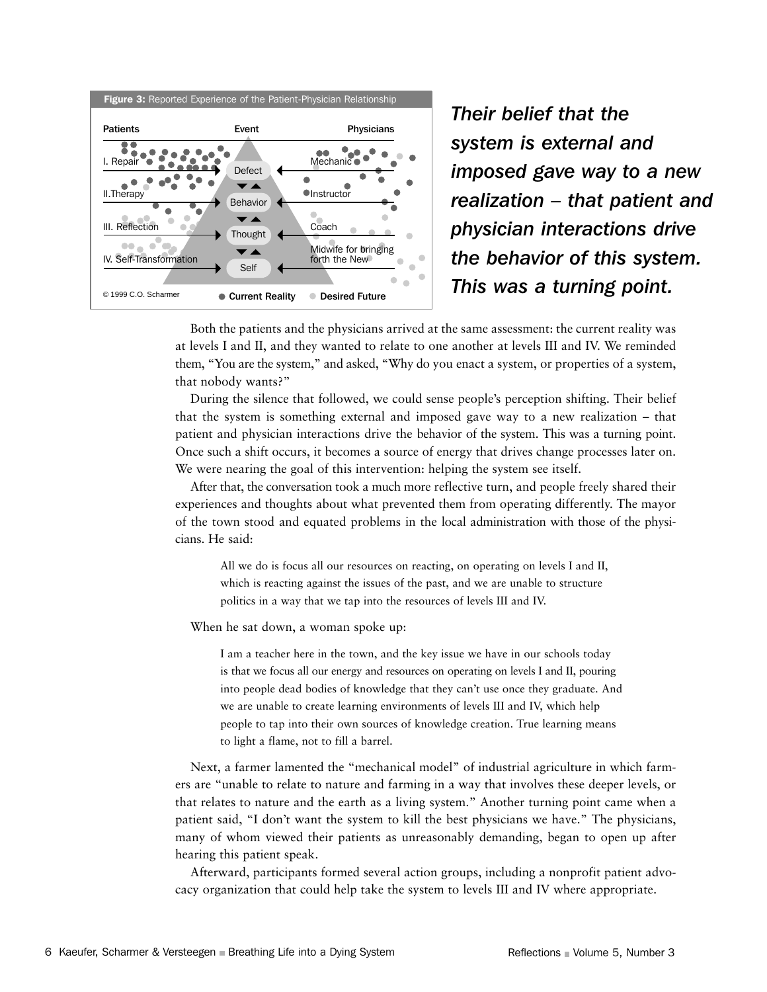

*Their belief that the system is external and imposed gave way to a new realization – that patient and physician interactions drive the behavior of this system.* 

Both the patients and the physicians arrived at the same assessment: the current reality was at levels I and II, and they wanted to relate to one another at levels III and IV. We reminded them, "You are the system," and asked, "Why do you enact a system, or properties of a system, that nobody wants?"

During the silence that followed, we could sense people's perception shifting. Their belief that the system is something external and imposed gave way to a new realization – that patient and physician interactions drive the behavior of the system. This was a turning point. Once such a shift occurs, it becomes a source of energy that drives change processes later on. We were nearing the goal of this intervention: helping the system see itself.

After that, the conversation took a much more reflective turn, and people freely shared their experiences and thoughts about what prevented them from operating differently. The mayor of the town stood and equated problems in the local administration with those of the physicians. He said:

All we do is focus all our resources on reacting, on operating on levels I and II, which is reacting against the issues of the past, and we are unable to structure politics in a way that we tap into the resources of levels III and IV.

When he sat down, a woman spoke up:

I am a teacher here in the town, and the key issue we have in our schools today is that we focus all our energy and resources on operating on levels I and II, pouring into people dead bodies of knowledge that they can't use once they graduate. And we are unable to create learning environments of levels III and IV, which help people to tap into their own sources of knowledge creation. True learning means to light a flame, not to fill a barrel.

Next, a farmer lamented the "mechanical model" of industrial agriculture in which farmers are "unable to relate to nature and farming in a way that involves these deeper levels, or that relates to nature and the earth as a living system." Another turning point came when a patient said, "I don't want the system to kill the best physicians we have." The physicians, many of whom viewed their patients as unreasonably demanding, began to open up after hearing this patient speak.

Afterward, participants formed several action groups, including a nonprofit patient advocacy organization that could help take the system to levels III and IV where appropriate.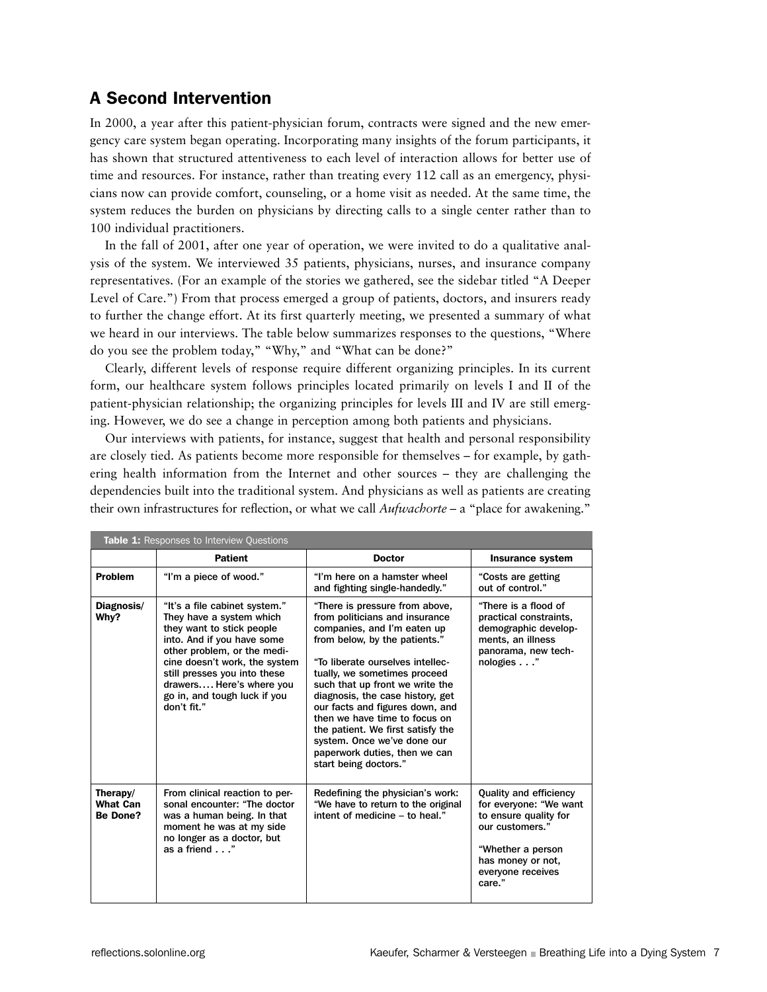## A Second Intervention

In 2000, a year after this patient-physician forum, contracts were signed and the new emergency care system began operating. Incorporating many insights of the forum participants, it has shown that structured attentiveness to each level of interaction allows for better use of time and resources. For instance, rather than treating every 112 call as an emergency, physicians now can provide comfort, counseling, or a home visit as needed. At the same time, the system reduces the burden on physicians by directing calls to a single center rather than to 100 individual practitioners.

In the fall of 2001, after one year of operation, we were invited to do a qualitative analysis of the system. We interviewed 35 patients, physicians, nurses, and insurance company representatives. (For an example of the stories we gathered, see the sidebar titled "A Deeper Level of Care.") From that process emerged a group of patients, doctors, and insurers ready to further the change effort. At its first quarterly meeting, we presented a summary of what we heard in our interviews. The table below summarizes responses to the questions, "Where do you see the problem today," "Why," and "What can be done?"

Clearly, different levels of response require different organizing principles. In its current form, our healthcare system follows principles located primarily on levels I and II of the patient-physician relationship; the organizing principles for levels III and IV are still emerging. However, we do see a change in perception among both patients and physicians.

Our interviews with patients, for instance, suggest that health and personal responsibility are closely tied. As patients become more responsible for themselves – for example, by gathering health information from the Internet and other sources – they are challenging the dependencies built into the traditional system. And physicians as well as patients are creating their own infrastructures for reflection, or what we call *Aufwachorte* – a "place for awakening."

| <b>Table 1:</b> Responses to Interview Questions |                                                                                                                                                                                                                                                                                                 |                                                                                                                                                                                                                                                                                                                                                                                                                                                                               |                                                                                                                                                                              |  |  |  |  |  |
|--------------------------------------------------|-------------------------------------------------------------------------------------------------------------------------------------------------------------------------------------------------------------------------------------------------------------------------------------------------|-------------------------------------------------------------------------------------------------------------------------------------------------------------------------------------------------------------------------------------------------------------------------------------------------------------------------------------------------------------------------------------------------------------------------------------------------------------------------------|------------------------------------------------------------------------------------------------------------------------------------------------------------------------------|--|--|--|--|--|
|                                                  | <b>Patient</b>                                                                                                                                                                                                                                                                                  | <b>Doctor</b>                                                                                                                                                                                                                                                                                                                                                                                                                                                                 | Insurance system                                                                                                                                                             |  |  |  |  |  |
| <b>Problem</b>                                   | "I'm a piece of wood."                                                                                                                                                                                                                                                                          | "I'm here on a hamster wheel<br>and fighting single-handedly."                                                                                                                                                                                                                                                                                                                                                                                                                | "Costs are getting<br>out of control."                                                                                                                                       |  |  |  |  |  |
| Diagnosis/<br>Why?                               | "It's a file cabinet system."<br>They have a system which<br>they want to stick people<br>into. And if you have some<br>other problem, or the medi-<br>cine doesn't work, the system<br>still presses you into these<br>drawers Here's where you<br>go in, and tough luck if you<br>don't fit." | "There is pressure from above,<br>from politicians and insurance<br>companies, and I'm eaten up<br>from below, by the patients."<br>"To liberate ourselves intellec-<br>tually, we sometimes proceed<br>such that up front we write the<br>diagnosis, the case history, get<br>our facts and figures down, and<br>then we have time to focus on<br>the patient. We first satisfy the<br>system. Once we've done our<br>paperwork duties, then we can<br>start being doctors." | "There is a flood of<br>practical constraints,<br>demographic develop-<br>ments, an illness<br>panorama, new tech-<br>nologies"                                              |  |  |  |  |  |
| Therapy/<br><b>What Can</b><br><b>Be Done?</b>   | From clinical reaction to per-<br>sonal encounter: "The doctor<br>was a human being. In that<br>moment he was at my side<br>no longer as a doctor, but<br>as a friend"                                                                                                                          | Redefining the physician's work:<br>"We have to return to the original<br>intent of medicine - to heal."                                                                                                                                                                                                                                                                                                                                                                      | <b>Quality and efficiency</b><br>for everyone: "We want<br>to ensure quality for<br>our customers."<br>"Whether a person<br>has money or not,<br>everyone receives<br>care." |  |  |  |  |  |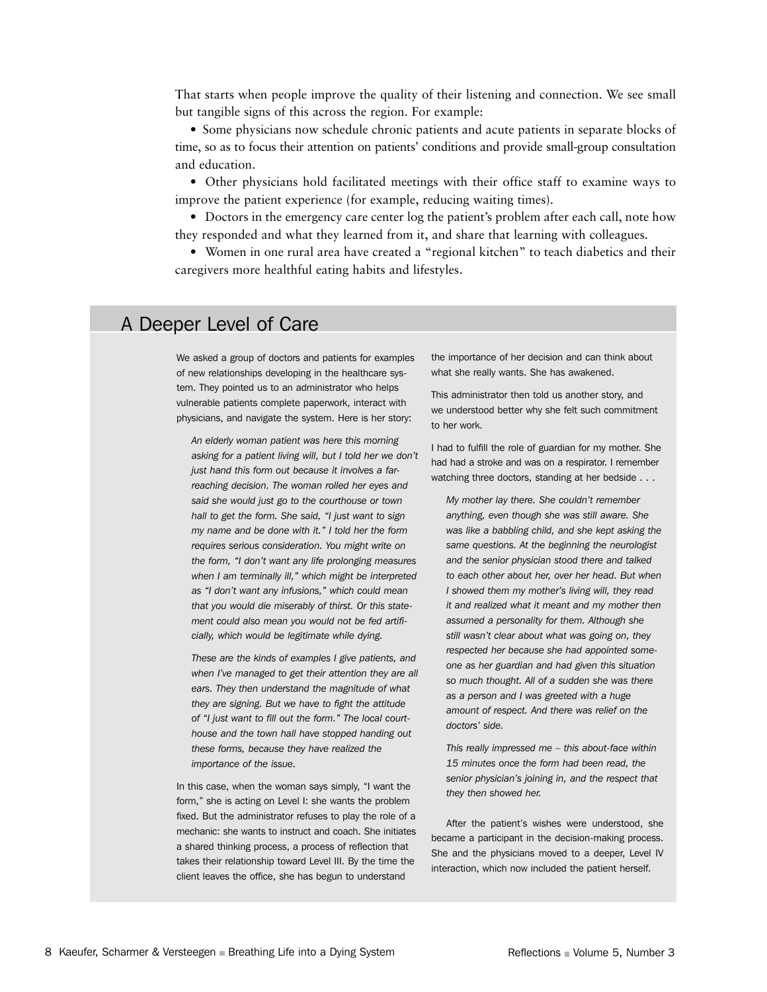That starts when people improve the quality of their listening and connection. We see small but tangible signs of this across the region. For example:

• Some physicians now schedule chronic patients and acute patients in separate blocks of time, so as to focus their attention on patients' conditions and provide small-group consultation and education.

• Other physicians hold facilitated meetings with their office staff to examine ways to improve the patient experience (for example, reducing waiting times).

• Doctors in the emergency care center log the patient's problem after each call, note how they responded and what they learned from it, and share that learning with colleagues.

• Women in one rural area have created a "regional kitchen" to teach diabetics and their caregivers more healthful eating habits and lifestyles.

## A Deeper Level of Care

We asked a group of doctors and patients for examples of new relationships developing in the healthcare system. They pointed us to an administrator who helps vulnerable patients complete paperwork, interact with physicians, and navigate the system. Here is her story:

*An elderly woman patient was here this morning asking for a patient living will, but I told her we don't just hand this form out because it involves a farreaching decision. The woman rolled her eyes and said she would just go to the courthouse or town hall to get the form. She said, "I just want to sign my name and be done with it." I told her the form requires serious consideration. You might write on the form, "I don't want any life prolonging measures when I am terminally ill," which might be interpreted as "I don't want any infusions," which could mean that you would die miserably of thirst. Or this statement could also mean you would not be fed artificially, which would be legitimate while dying.* 

*These are the kinds of examples I give patients, and when I've managed to get their attention they are all ears. They then understand the magnitude of what they are signing. But we have to fight the attitude of "I just want to fill out the form." The local courthouse and the town hall have stopped handing out these forms, because they have realized the importance of the issue.*

In this case, when the woman says simply, "I want the form," she is acting on Level I: she wants the problem fixed. But the administrator refuses to play the role of a mechanic: she wants to instruct and coach. She initiates a shared thinking process, a process of reflection that takes their relationship toward Level III. By the time the client leaves the office, she has begun to understand

the importance of her decision and can think about what she really wants. She has awakened.

This administrator then told us another story, and we understood better why she felt such commitment to her work.

I had to fulfill the role of guardian for my mother. She had had a stroke and was on a respirator. I remember watching three doctors, standing at her bedside . . .

*My mother lay there. She couldn't remember anything, even though she was still aware. She was like a babbling child, and she kept asking the same questions. At the beginning the neurologist and the senior physician stood there and talked to each other about her, over her head. But when I showed them my mother's living will, they read it and realized what it meant and my mother then assumed a personality for them. Although she still wasn't clear about what was going on, they respected her because she had appointed someone as her guardian and had given this situation so much thought. All of a sudden she was there as a person and I was greeted with a huge amount of respect. And there was relief on the doctors' side.*

*This really impressed me – this about-face within 15 minutes once the form had been read, the senior physician's joining in, and the respect that they then showed her.*

After the patient's wishes were understood, she became a participant in the decision-making process. She and the physicians moved to a deeper, Level IV interaction, which now included the patient herself.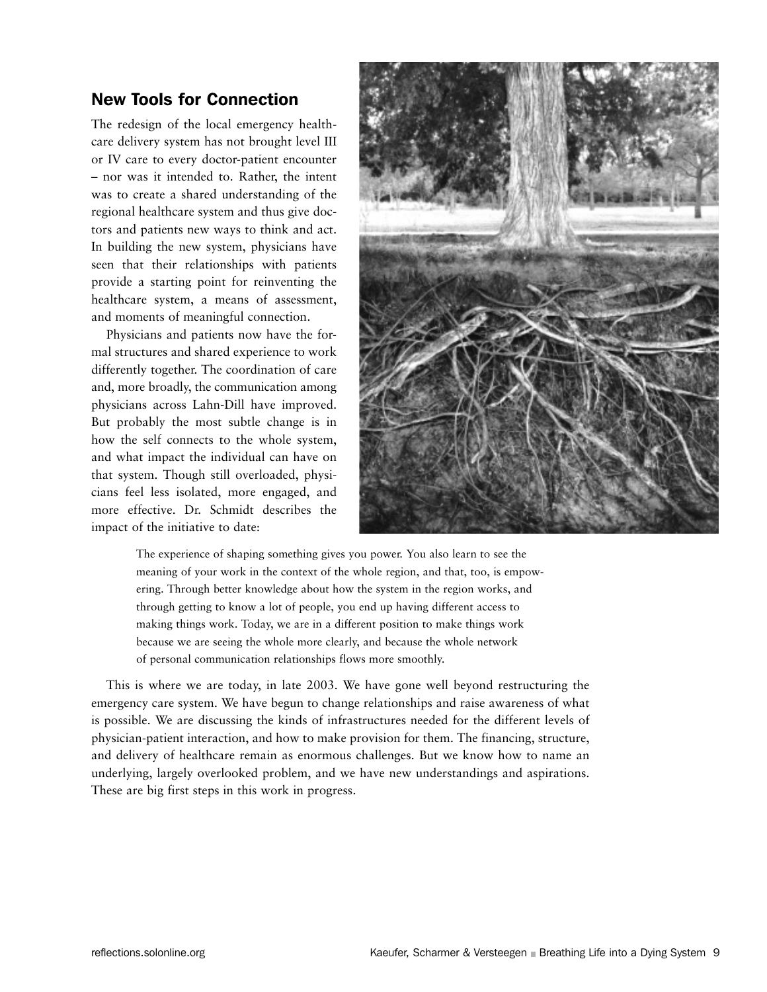## New Tools for Connection

The redesign of the local emergency healthcare delivery system has not brought level III or IV care to every doctor-patient encounter – nor was it intended to. Rather, the intent was to create a shared understanding of the regional healthcare system and thus give doctors and patients new ways to think and act. In building the new system, physicians have seen that their relationships with patients provide a starting point for reinventing the healthcare system, a means of assessment, and moments of meaningful connection.

Physicians and patients now have the formal structures and shared experience to work differently together. The coordination of care and, more broadly, the communication among physicians across Lahn-Dill have improved. But probably the most subtle change is in how the self connects to the whole system, and what impact the individual can have on that system. Though still overloaded, physicians feel less isolated, more engaged, and more effective. Dr. Schmidt describes the impact of the initiative to date:



The experience of shaping something gives you power. You also learn to see the meaning of your work in the context of the whole region, and that, too, is empowering. Through better knowledge about how the system in the region works, and through getting to know a lot of people, you end up having different access to making things work. Today, we are in a different position to make things work because we are seeing the whole more clearly, and because the whole network of personal communication relationships flows more smoothly.

This is where we are today, in late 2003. We have gone well beyond restructuring the emergency care system. We have begun to change relationships and raise awareness of what is possible. We are discussing the kinds of infrastructures needed for the different levels of physician-patient interaction, and how to make provision for them. The financing, structure, and delivery of healthcare remain as enormous challenges. But we know how to name an underlying, largely overlooked problem, and we have new understandings and aspirations. These are big first steps in this work in progress.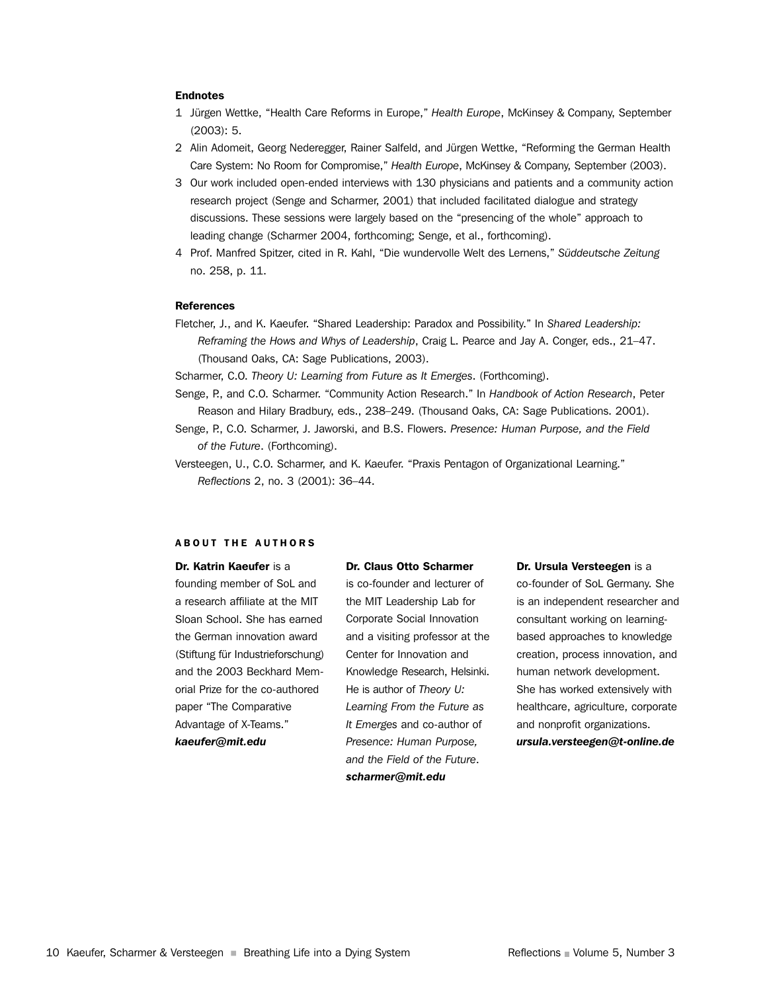#### Endnotes

- 1 Jürgen Wettke, "Health Care Reforms in Europe," *Health Europe*, McKinsey & Company, September (2003): 5.
- 2 Alin Adomeit, Georg Nederegger, Rainer Salfeld, and Jürgen Wettke, "Reforming the German Health Care System: No Room for Compromise," *Health Europe*, McKinsey & Company, September (2003).
- 3 Our work included open-ended interviews with 130 physicians and patients and a community action research project (Senge and Scharmer, 2001) that included facilitated dialogue and strategy discussions. These sessions were largely based on the "presencing of the whole" approach to leading change (Scharmer 2004, forthcoming; Senge, et al., forthcoming).
- 4 Prof. Manfred Spitzer, cited in R. Kahl, "Die wundervolle Welt des Lernens," *Süddeutsche Zeitung* no. 258, p. 11.

### **References**

Fletcher, J., and K. Kaeufer. "Shared Leadership: Paradox and Possibility." In *Shared Leadership: Reframing the Hows and Whys of Leadership*, Craig L. Pearce and Jay A. Conger, eds., 21–47. (Thousand Oaks, CA: Sage Publications, 2003).

Scharmer, C.O. *Theory U: Learning from Future as It Emerges*. (Forthcoming).

- Senge, P., and C.O. Scharmer. "Community Action Research." In *Handbook of Action Research*, Peter Reason and Hilary Bradbury, eds., 238–249. (Thousand Oaks, CA: Sage Publications. 2001).
- Senge, P., C.O. Scharmer, J. Jaworski, and B.S. Flowers. *Presence: Human Purpose, and the Field of the Future*. (Forthcoming).
- Versteegen, U., C.O. Scharmer, and K. Kaeufer. "Praxis Pentagon of Organizational Learning." *Reflections* 2, no. 3 (2001): 36–44.

#### ABOUT THE AUTHORS

Dr. Katrin Kaeufer is a founding member of SoL and a research affiliate at the MIT Sloan School. She has earned the German innovation award (Stiftung für Industrieforschung) and the 2003 Beckhard Memorial Prize for the co-authored paper "The Comparative Advantage of X-Teams." *kaeufer@mit.edu*

#### Dr. Claus Otto Scharmer

is co-founder and lecturer of the MIT Leadership Lab for Corporate Social Innovation and a visiting professor at the Center for Innovation and Knowledge Research, Helsinki. He is author of *Theory U: Learning From the Future as It Emerges* and co-author of *Presence: Human Purpose, and the Field of the Future*. *scharmer@mit.edu*

#### Dr. Ursula Versteegen is a

co-founder of SoL Germany. She is an independent researcher and consultant working on learningbased approaches to knowledge creation, process innovation, and human network development. She has worked extensively with healthcare, agriculture, corporate and nonprofit organizations. *ursula.versteegen@t-online.de*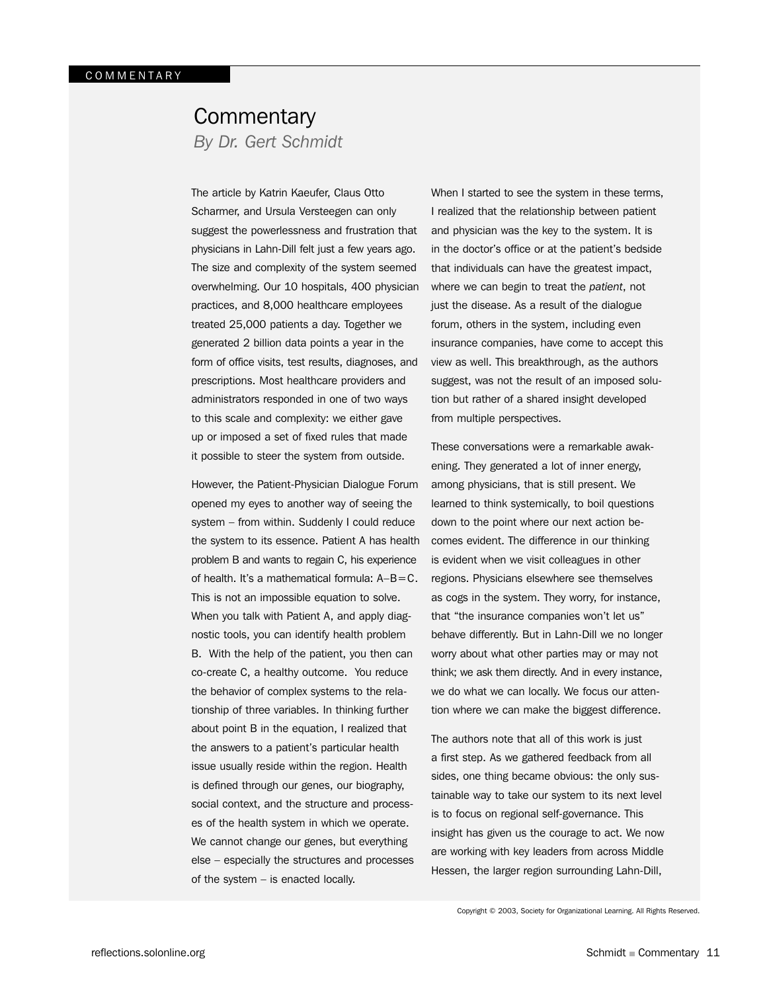## **Commentary**

*By Dr. Gert Schmidt*

The article by Katrin Kaeufer, Claus Otto Scharmer, and Ursula Versteegen can only suggest the powerlessness and frustration that physicians in Lahn-Dill felt just a few years ago. The size and complexity of the system seemed overwhelming. Our 10 hospitals, 400 physician practices, and 8,000 healthcare employees treated 25,000 patients a day. Together we generated 2 billion data points a year in the form of office visits, test results, diagnoses, and prescriptions. Most healthcare providers and administrators responded in one of two ways to this scale and complexity: we either gave up or imposed a set of fixed rules that made it possible to steer the system from outside.

However, the Patient-Physician Dialogue Forum opened my eyes to another way of seeing the system – from within. Suddenly I could reduce the system to its essence. Patient A has health problem B and wants to regain C, his experience of health. It's a mathematical formula:  $A-B=C$ . This is not an impossible equation to solve. When you talk with Patient A, and apply diagnostic tools, you can identify health problem B. With the help of the patient, you then can co-create C, a healthy outcome. You reduce the behavior of complex systems to the relationship of three variables. In thinking further about point B in the equation, I realized that the answers to a patient's particular health issue usually reside within the region. Health is defined through our genes, our biography, social context, and the structure and processes of the health system in which we operate. We cannot change our genes, but everything else – especially the structures and processes of the system – is enacted locally.

When I started to see the system in these terms, I realized that the relationship between patient and physician was the key to the system. It is in the doctor's office or at the patient's bedside that individuals can have the greatest impact, where we can begin to treat the *patient*, not just the disease. As a result of the dialogue forum, others in the system, including even insurance companies, have come to accept this view as well. This breakthrough, as the authors suggest, was not the result of an imposed solution but rather of a shared insight developed from multiple perspectives.

These conversations were a remarkable awakening. They generated a lot of inner energy, among physicians, that is still present. We learned to think systemically, to boil questions down to the point where our next action becomes evident. The difference in our thinking is evident when we visit colleagues in other regions. Physicians elsewhere see themselves as cogs in the system. They worry, for instance, that "the insurance companies won't let us" behave differently. But in Lahn-Dill we no longer worry about what other parties may or may not think; we ask them directly. And in every instance, we do what we can locally. We focus our attention where we can make the biggest difference.

The authors note that all of this work is just a first step. As we gathered feedback from all sides, one thing became obvious: the only sustainable way to take our system to its next level is to focus on regional self-governance. This insight has given us the courage to act. We now are working with key leaders from across Middle Hessen, the larger region surrounding Lahn-Dill,

Copyright © 2003, Society for Organizational Learning. All Rights Reserved.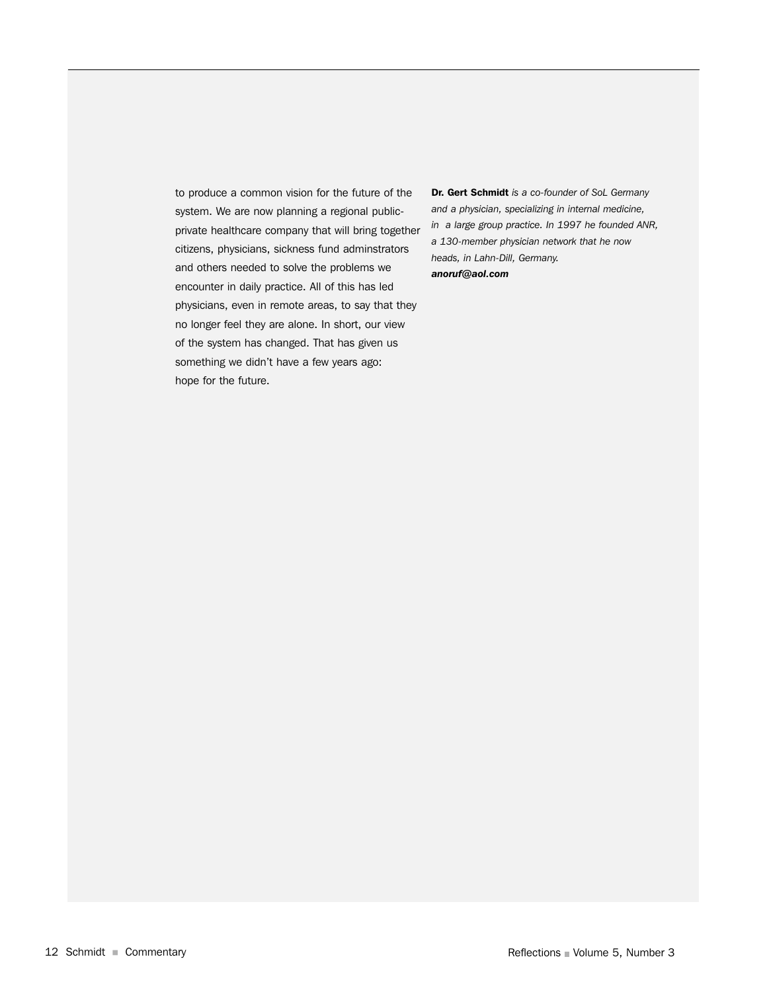to produce a common vision for the future of the system. We are now planning a regional publicprivate healthcare company that will bring together citizens, physicians, sickness fund adminstrators and others needed to solve the problems we encounter in daily practice. All of this has led physicians, even in remote areas, to say that they no longer feel they are alone. In short, our view of the system has changed. That has given us something we didn't have a few years ago: hope for the future.

Dr. Gert Schmidt *is a co-founder of SoL Germany and a physician, specializing in internal medicine, in a large group practice. In 1997 he founded ANR, a 130-member physician network that he now heads, in Lahn-Dill, Germany. anoruf@aol.com*